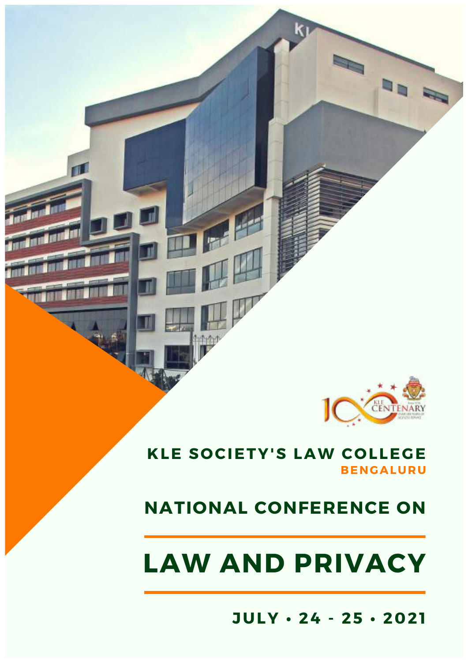

### **KLE SOCIETY'S LAW COLLEGE BENGALURU**

小心

 $\blacksquare$ 

# **NATIONAL CONFERENCE ON**

# **LAW AND PRIVACY**

**JULY • 24 - 25 • 2021**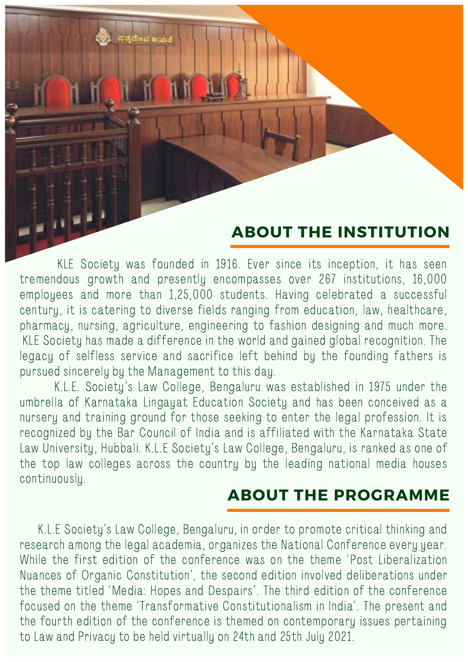### **ABOUT THE INSTITUTION**

KLE Society was founded in 1916. Ever since its inception, it has seen tremendous growth and presently encompasses over 267 institutions, 16,000 employees and more than 1,25,000 students. Having celebrated a successful century, it is catering to diverse fields ranging from education, law, healthcare, pharmacy, nursing, agriculture, engineering to fashion designing and much more. KLE Society has made a difference in the world and gained global recognition. The legacy of selfless service and sacrifice left behind by the founding fathers is pursued sincerely by the Management to this day.

K.L.E. Society's Law College, Bengaluru was established in 1975 under the umbrella of Karnataka Lingayat Education Society and has been conceived as a nursery and training ground for those seeking to enter the legal profession. It is recognized by the Bar Council of India and is affiliated with the Karnataka State Law University, Hubbali. K.L.E Society's Law College, Bengaluru, is ranked as one of the top law colleges across the country by the leading national media houses continuously.

### **ABOUT THE PROGRAMME**

K.L.E Society's Law College, Bengaluru, in order to promote critical thinking and research among the legal academia, organizes the National Conference every year. While the first edition of the conference was on the theme 'Post Liberalization Nuances of Organic Constitution', the second edition involved deliberations under the theme titled 'Media: Hopes and Despairs'. The third edition of the conference focused on the theme 'Transformative Constitutionalism in India'. The present and the fourth edition of the conference is themed on contemporary issues pertaining to Law and Privacy to be held virtually on 24th and 25th July 2021.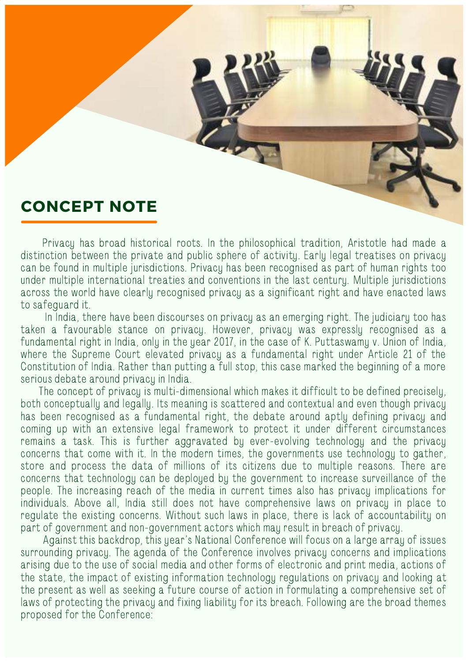

Privacy has broad historical roots. In the philosophical tradition, Aristotle had made a distinction between the private and public sphere of activity. Early legal treatises on privacy can be found in multiple jurisdictions. Privacy has been recognised as part of human rights too under multiple international treaties and conventions in the last century. Multiple jurisdictions across the world have clearly recognised privacy as a significant right and have enacted laws to safeguard it.

In India, there have been discourses on privacy as an emerging right. The judiciary too has taken a favourable stance on privacy. However, privacy was expressly recognised as a fundamental right in India, only in the year 2017, in the case of K. Puttaswamy v. Union of India, where the Supreme Court elevated privacy as a fundamental right under Article 21 of the Constitution of India. Rather than putting a full stop, this case marked the beginning of a more serious debate around privacy in India.

The concept of privacy is multi-dimensional which makes it difficult to be defined precisely, both conceptually and legally. Its meaning is scattered and contextual and even though privacy has been recognised as a fundamental right, the debate around aptly defining privacy and coming up with an extensive legal framework to protect it under different circumstances remains a task. This is further aggravated by ever-evolving technology and the privacy concerns that come with it. In the modern times, the governments use technology to gather, store and process the data of millions of its citizens due to multiple reasons. There are concerns that technology can be deployed by the government to increase surveillance of the people. The increasing reach of the media in current times also has privacy implications for individuals. Above all, India still does not have comprehensive laws on privacy in place to regulate the existing concerns. Without such laws in place, there is lack of accountability on part of government and non-government actors which may result in breach of privacy.

Against this backdrop, this year's National Conference will focus on a large array of issues surrounding privacy. The agenda of the Conference involves privacy concerns and implications arising due to the use of social media and other forms of electronic and print media, actions of the state, the impact of existing information technology regulations on privacy and looking at the present as well as seeking a future course of action in formulating a comprehensive set of laws of protecting the privacy and fixing liability for its breach. Following are the broad themes proposed for the Conference: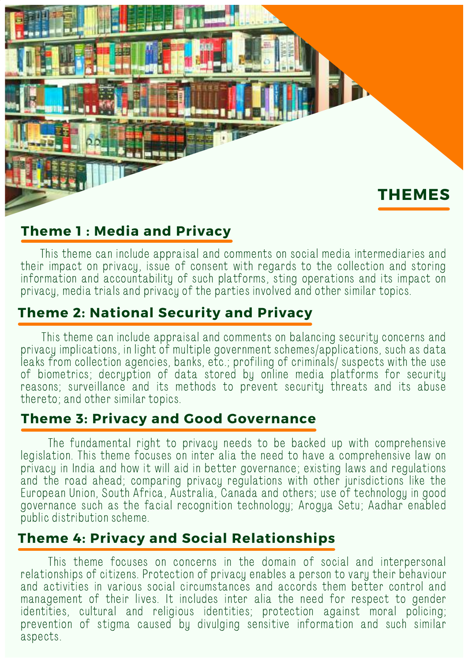

### **Theme 1 : Media and Privacy**

This theme can include appraisal and comments on social media intermediaries and their impact on privacy, issue of consent with regards to the collection and storing information and accountability of such platforms, sting operations and its impact on privacy, media trials and privacy of the parties involved and other similar topics.

### **Theme 2: National Security and Privacy**

This theme can include appraisal and comments on balancing security concerns and privacy implications, in light of multiple government schemes/applications, such as data leaks from collection agencies, banks, etc.; profiling of criminals/ suspects with the use of biometrics; decryption of data stored by online media platforms for security reasons; surveillance and its methods to prevent security threats and its abuse thereto; and other similar topics.

### **Theme 3: Privacy and Good Governance**

The fundamental right to privacy needs to be backed up with comprehensive legislation. This theme focuses on inter alia the need to have a comprehensive law on privacy in India and how it will aid in better governance; existing laws and regulations and the road ahead; comparing privacy regulations with other jurisdictions like the European Union, South Africa, Australia, Canada and others; use of technology in good governance such as the facial recognition technology; Arogya Setu; Aadhar enabled public distribution scheme.

### **Theme 4: Privacy and Social Relationships**

This theme focuses on concerns in the domain of social and interpersonal relationships of citizens. Protection of privacy enables a person to vary their behaviour and activities in various social circumstances and accords them better control and management of their lives. It includes inter alia the need for respect to gender identities, cultural and religious identities; protection against moral policing; prevention of stigma caused by divulging sensitive information and such similar aspects.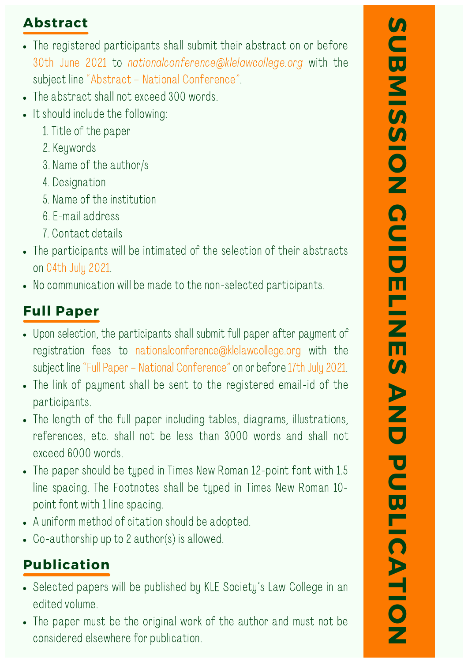### **Abstract**

- The registered participants shall submit their abstract on or before 30th June 2021 to nationalconference@klelawcollege.org with the subject line "Abstract – National Conference".
- The abstract shall not exceed 300 words.
- It should include the following:
	- 1. Title of the paper
	- 2. Keywords
	- 3. Name of the author/s
	- 4. Designation
	- 5. Name of the institution
	- 6. E-mail address
	- 7. Contact details
- The participants will be intimated of the selection of their abstracts on 04th July 2021.
- No communication will be made to the non-selected participants.

# **Full Paper**

- Upon selection, the participants shall submit full paper after payment of registration fees to nationalconference@klelawcollege.org with the subject line "Full Paper - National Conference" on or before 17th July 2021.
- The link of payment shall be sent to the registered email-id of the participants.
- The length of the full paper including tables, diagrams, illustrations, references, etc. shall not be less than 3000 words and shall not exceed 6000 words.
- The paper should be typed in Times New Roman 12-point font with 1.5 line spacing. The Footnotes shall be typed in Times New Roman 10 point font with 1 line spacing.
- A uniform method of citation should be adopted.
- Co-authorship up to 2 author(s) is allowed.

# **Publication**

- Selected papers will be published by KLE Society's Law College in an edited volume.
- The paper must be the original work of the author and must not be considered elsewhere for publication.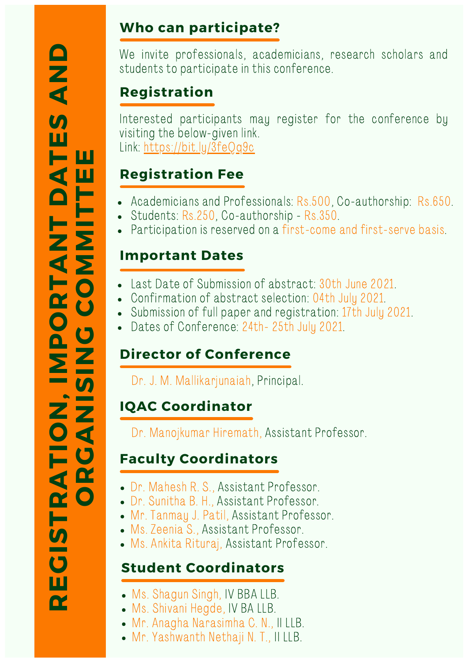#### **REGS TR A TI GO A N N, I M**<u>p</u>  $\overline{P}$ **O R**  $\blacksquare$   $\blacksquare$ **A NT MDA ET EE** $\overline{\mathbf{S}}$ **A NDORS NGCOΣ TT**

# **Who can participate?**

We invite professionals, academicians, research scholars and students to participate in this conference.

# **Registration**

Interested participants may register for the conference by visiting the below-given link. Link: <https://bit.ly/3feQq9c>

# **Registration Fee**

- Academicians and Professionals: Rs.500, Co-authorship: Rs.650.
- Students: Rs.250, Co-authorship Rs.350.
- Participation is reserved on a first-come and first-serve basis.

### **Important Dates**

- Last Date of Submission of abstract: 30th June 2021.
- Confirmation of abstract selection: 04th July 2021.
- Submission of full paper and registration: 17th July 2021.
- Dates of Conference: 24th- 25th July 2021.

# **Director of Conference**

Dr. J. M. Mallikarjunaiah, Principal.

# **IQAC Coordinator**

Dr. Manojkumar Hiremath, Assistant Professor.

# **Faculty Coordinators**

- Dr. Mahesh R. S., Assistant Professor.
- Dr. Sunitha B. H., Assistant Professor.
- Mr. Tanmay J. Patil, Assistant Professor.
- Ms. Zeenia S., Assistant Professor.
- Ms. Ankita Rituraj, Assistant Professor.

# **Student Coordinators**

- Ms. Shagun Singh, IV BBA LLB.
- Ms. Shivani Hegde, IV BA LLB.
- Mr. Anagha Narasimha C. N., II LLB.
- Mr. Yashwanth Nethaji N. T., II LLB.